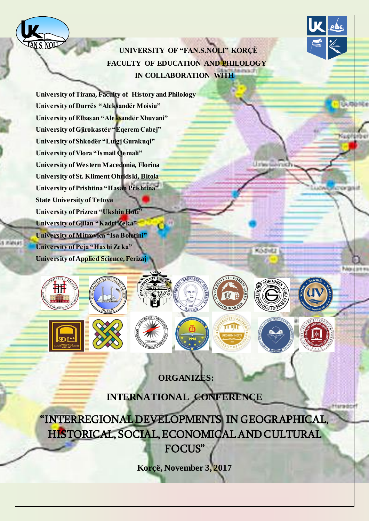**UNIVERSITY OF "FAN.S.NOLI" KORÇË FACULTY OF EDUCATION AND PHILOLOGY IN COLLABORATION WITH**

**University of Tirana, Faculty of History and Philology University of Durrës "Aleksandër Moisiu" University of Elbasan "Aleksandër Xhuvani" University of Gjirokastër "Eqerem Cabej" University of Shkodër "Luigj Gurakuqi" University of Vlora "Ismail Qemali" University of Western Macedonia, Florina University of St. Kliment Ohridski, Bitola University of Prishtina "Hasan Prishtina" State University of Tetova University of Prizren "Ukshin Hoti" University of Gjilan "Kadri Zeka"** Ö. **University of Mitrovica "Isa Boletini" University of Peja "Haxhi Zeka" University of Applied Science, Ferizaj**

<u>ĀN S. NOU</u>

**ORGANIZES:**

Hurado

KOZHU

**SHKODRA** 

Kud

ora

**INTERNATIONAL CONFERENCE**

"INTERREGIONAL DEVELOPMENTS IN GEOGRAPHICAL, HISTORICAL, SOCIAL, ECONOMICAL AND CULTURAL FOCUS"

**Korçë, November 3, 2017**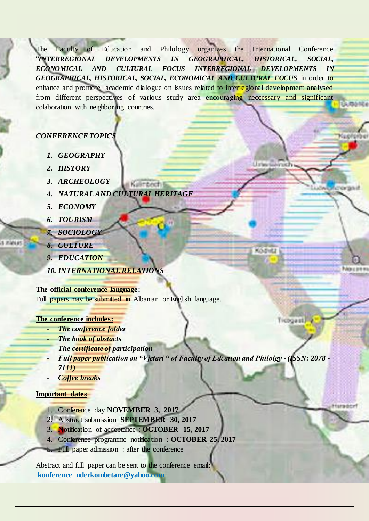The Faculty of Education and Philology organizes the International Conference "*INTERREGIONAL DEVELOPMENTS IN GEOGRAPHICAL, HISTORICAL, SOCIAL, ECONOMICAL AND CULTURAL FOCUS INTERREGIONAL DEVELOPMENTS IN GEOGRAPHICAL, HISTORICAL, SOCIAL, ECONOMICAL AND CULTURAL FOCUS* in order to enhance and promote academic dialogue on issues related to interregional development analysed from different perspectives of various study area encouraging neccessary and significant colaboration with neighboring countries.

Kulo

Cs'2

Hurado

LE schus

KOZHU

Troogast 7

## *CONFERENCE TOPICS*

- *1. GEOGRAPHY*
- *2. HISTORY*
- *3. ARCHEOLOGY*
- *4. NATURAL AND CULTURAL HERITAGE*

Kulintech 6

- *5. ECONOMY*
- *6. TOURISM*
- *7. SOCIOLOGY*
- *8. CULTURE*
- *9. EDUCATION*
- *10. INTERNATIONAL RELATIONS*

### **The official conference language:**

Full papers may be submitted in Albanian or English language.

### **The conference includes:**

- **The conference folder**
- **The book of abstacts**
- *The certificate of participation*
- *Full paper publication on "Vjetari " of Faculty of Edcation and Philolgy - (ISSN: 2078 - 7111)*
- *Coffee breaks*

## **Important dates**

- 1. Conference day **NOVEMBER 3, 2017**
- 2. Abstract submission **SEPTEMBER 30, 2017**
- 3. Notification of acceptance : **OCTOBER 15, 2017**
- 4. Conference programme notification : **OCTOBER 25, 2017**
- 5. Full paper admission : after the conference

Abstract and full paper can be sent to the conference email: **konference\_nderkombetare@yahoo.com**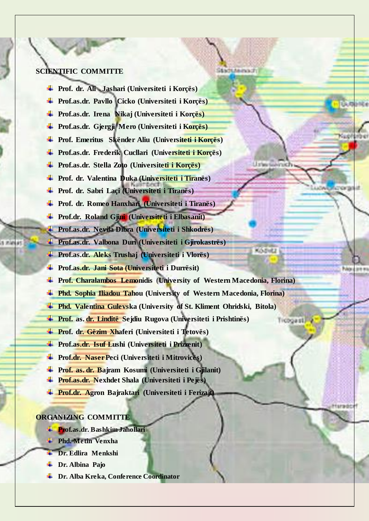## **SCIENTIFIC COMMITTE**

- **Prof. dr. Ali Jashari (Universiteti i Korçës)**
- **Prof.as.dr. Pavllo Cicko (Universiteti i Korçës)**
- **Prof.as.dr. Irena Nikaj (Universiteti i Korçës)**
- **Prof.as.dr. Gjergji Mero (Universiteti i Korçës)**
- **Prof. Emeritus Skënder Aliu (Universiteti i Korçës)**
- **Prof.as.dr. Frederik Cucllari (Universiteti i Korçës)**
- **Prof.as.dr. Stella Zoto (Universiteti i Korçës)**
- **Prof. dr. Valentina Duka (Universiteti i Tiranës)**
- **Prof. dr. Sabri Laçi (Universiteti i Tiranës)**
- **Prof. dr. Romeo Hanxhari (Universiteti i Tiranës)**
- **Prof.dr. Roland Gjini (Universiteti i Elbasanit)**
- **Prof.as.dr. Nevila Dibra (Universiteti i Shkodrës)**
- **Prof.as.dr. Valbona Duri (Universiteti i Gjirokastrës)**
- **Prof.as.dr. Aleks Trushaj (Universiteti i Vlorës)**
- **Prof.as.dr. Jani Sota (Universiteti i Durrësit)**
- **Prof. Charalambos Lemonidis** (**University of Western Macedonia, Florina)**

StadtMeinaufr

**Listen** 

KOZHU

Troogasti y

ora

Hurado

- **Phd. Sophia Iliadou Tahou (University of Western Macedonia, Florina)**
- **Phd. Valentina Gulevska (University of St. Kliment Ohridski, Bitola)**
- **Prof. as. dr. Linditë Sejdiu Rugova (Universiteti i Prishtinës)**
- **Prof. dr. Gëzim Xhaferi (Universiteti i Tetovës)**
- **Prof.as.dr. Isuf Lushi (Universiteti i Prizrenit)**
- **Prof.dr. Naser Peci (Universiteti i Mitrovicës)**
- **Prof. as. dr. Bajram Kosumi (Universiteti i Gjilanit)**
- **Prof.as.dr. Nexhdet Shala (Universiteti i Pejës)**
- **Prof.dr. Agron Bajraktari (Universiteti i Ferizajt)**

# **ORGANIZING COMMITTE**

- **Prof.as.dr. Bashkim Jahollari**
- **Phd. Metin Venxha**
- **Dr. Edlira Menkshi**
- **Dr. Albina Pajo**
- **Dr. Alba Kreka, Conference Coordinator**